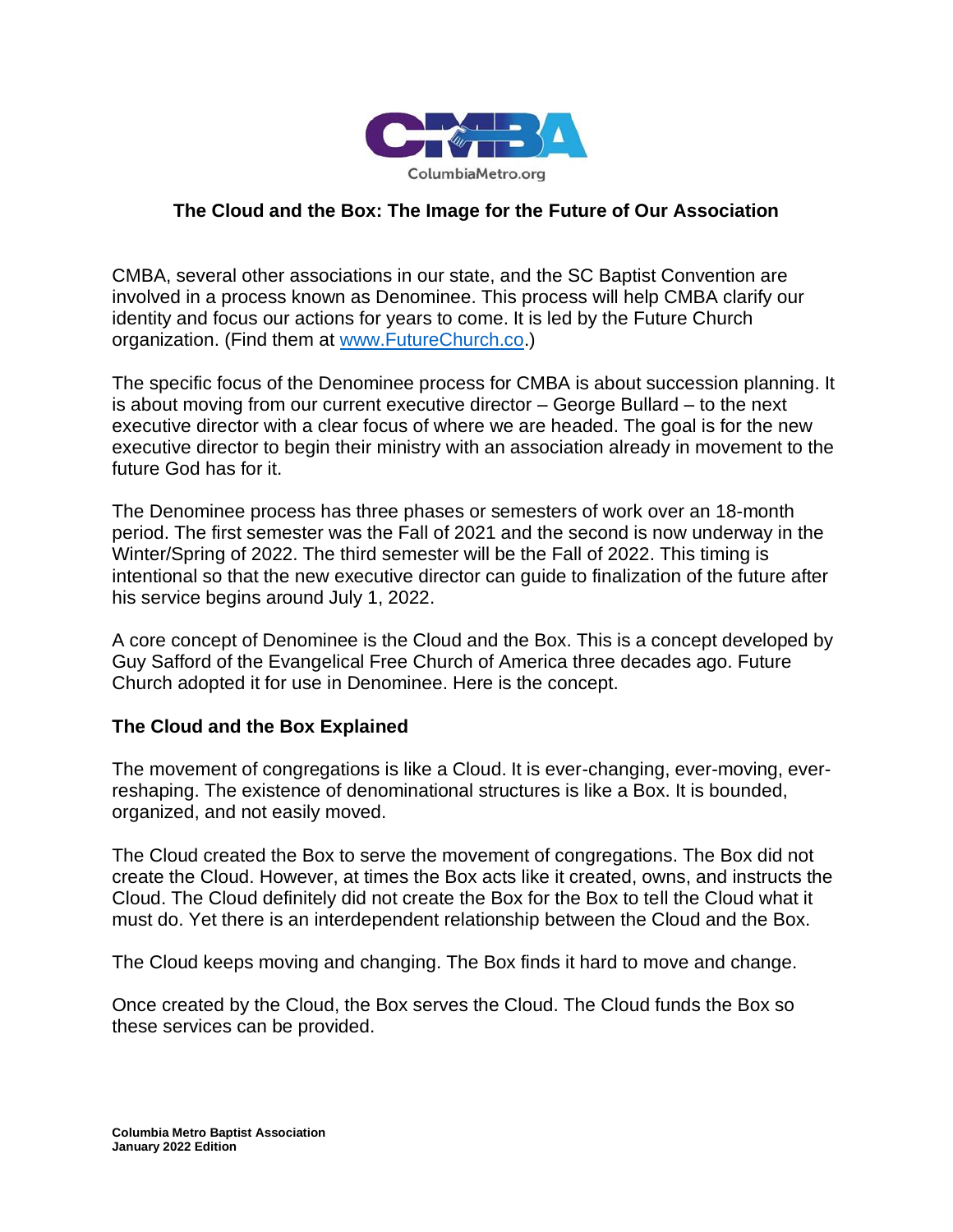

## **The Cloud and the Box: The Image for the Future of Our Association**

CMBA, several other associations in our state, and the SC Baptist Convention are involved in a process known as Denominee. This process will help CMBA clarify our identity and focus our actions for years to come. It is led by the Future Church organization. (Find them at [www.FutureChurch.co.](http://www.futurechurch.co/))

The specific focus of the Denominee process for CMBA is about succession planning. It is about moving from our current executive director – George Bullard – to the next executive director with a clear focus of where we are headed. The goal is for the new executive director to begin their ministry with an association already in movement to the future God has for it.

The Denominee process has three phases or semesters of work over an 18-month period. The first semester was the Fall of 2021 and the second is now underway in the Winter/Spring of 2022. The third semester will be the Fall of 2022. This timing is intentional so that the new executive director can guide to finalization of the future after his service begins around July 1, 2022.

A core concept of Denominee is the Cloud and the Box. This is a concept developed by Guy Safford of the Evangelical Free Church of America three decades ago. Future Church adopted it for use in Denominee. Here is the concept.

## **The Cloud and the Box Explained**

The movement of congregations is like a Cloud. It is ever-changing, ever-moving, everreshaping. The existence of denominational structures is like a Box. It is bounded, organized, and not easily moved.

The Cloud created the Box to serve the movement of congregations. The Box did not create the Cloud. However, at times the Box acts like it created, owns, and instructs the Cloud. The Cloud definitely did not create the Box for the Box to tell the Cloud what it must do. Yet there is an interdependent relationship between the Cloud and the Box.

The Cloud keeps moving and changing. The Box finds it hard to move and change.

Once created by the Cloud, the Box serves the Cloud. The Cloud funds the Box so these services can be provided.